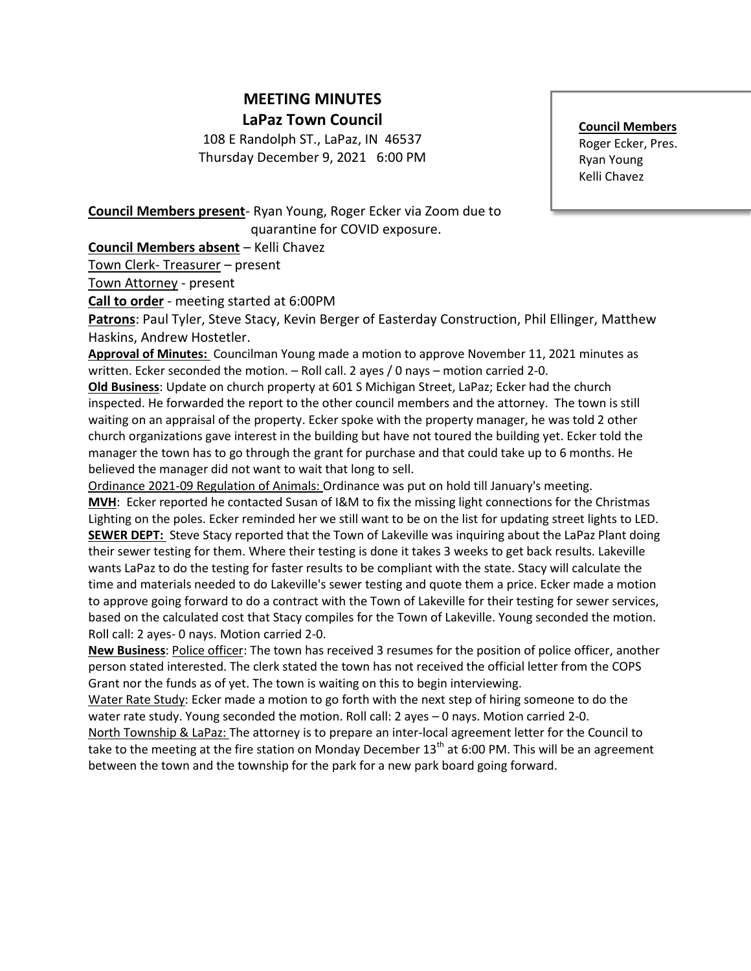## **MEETING MINUTES LaPaz Town Council**

108 E Randolph ST., LaPaz, IN 46537 Thursday December 9, 2021 6:00 PM

## **Council Members** Roger Ecker, Pres. Ryan Young Kelli Chavez

**Council Members present**- Ryan Young, Roger Ecker via Zoom due to quarantine for COVID exposure.

**Council Members absent** – Kelli Chavez

Town Clerk- Treasurer – present

Town Attorney - present

**Call to order** - meeting started at 6:00PM

**Patrons**: Paul Tyler, Steve Stacy, Kevin Berger of Easterday Construction, Phil Ellinger, Matthew Haskins, Andrew Hostetler.

**Approval of Minutes:** Councilman Young made a motion to approve November 11, 2021 minutes as written. Ecker seconded the motion. – Roll call. 2 ayes / 0 nays – motion carried 2-0.

**Old Business**: Update on church property at 601 S Michigan Street, LaPaz; Ecker had the church inspected. He forwarded the report to the other council members and the attorney. The town is still waiting on an appraisal of the property. Ecker spoke with the property manager, he was told 2 other church organizations gave interest in the building but have not toured the building yet. Ecker told the manager the town has to go through the grant for purchase and that could take up to 6 months. He believed the manager did not want to wait that long to sell.

Ordinance 2021-09 Regulation of Animals: Ordinance was put on hold till January's meeting. **MVH**: Ecker reported he contacted Susan of I&M to fix the missing light connections for the Christmas Lighting on the poles. Ecker reminded her we still want to be on the list for updating street lights to LED. **SEWER DEPT:** Steve Stacy reported that the Town of Lakeville was inquiring about the LaPaz Plant doing their sewer testing for them. Where their testing is done it takes 3 weeks to get back results. Lakeville wants LaPaz to do the testing for faster results to be compliant with the state. Stacy will calculate the time and materials needed to do Lakeville's sewer testing and quote them a price. Ecker made a motion to approve going forward to do a contract with the Town of Lakeville for their testing for sewer services, based on the calculated cost that Stacy compiles for the Town of Lakeville. Young seconded the motion. Roll call: 2 ayes- 0 nays. Motion carried 2-0.

**New Business**: Police officer: The town has received 3 resumes for the position of police officer, another person stated interested. The clerk stated the town has not received the official letter from the COPS Grant nor the funds as of yet. The town is waiting on this to begin interviewing.

Water Rate Study: Ecker made a motion to go forth with the next step of hiring someone to do the water rate study. Young seconded the motion. Roll call: 2 ayes – 0 nays. Motion carried 2-0.

North Township & LaPaz: The attorney is to prepare an inter-local agreement letter for the Council to take to the meeting at the fire station on Monday December  $13<sup>th</sup>$  at 6:00 PM. This will be an agreement between the town and the township for the park for a new park board going forward.